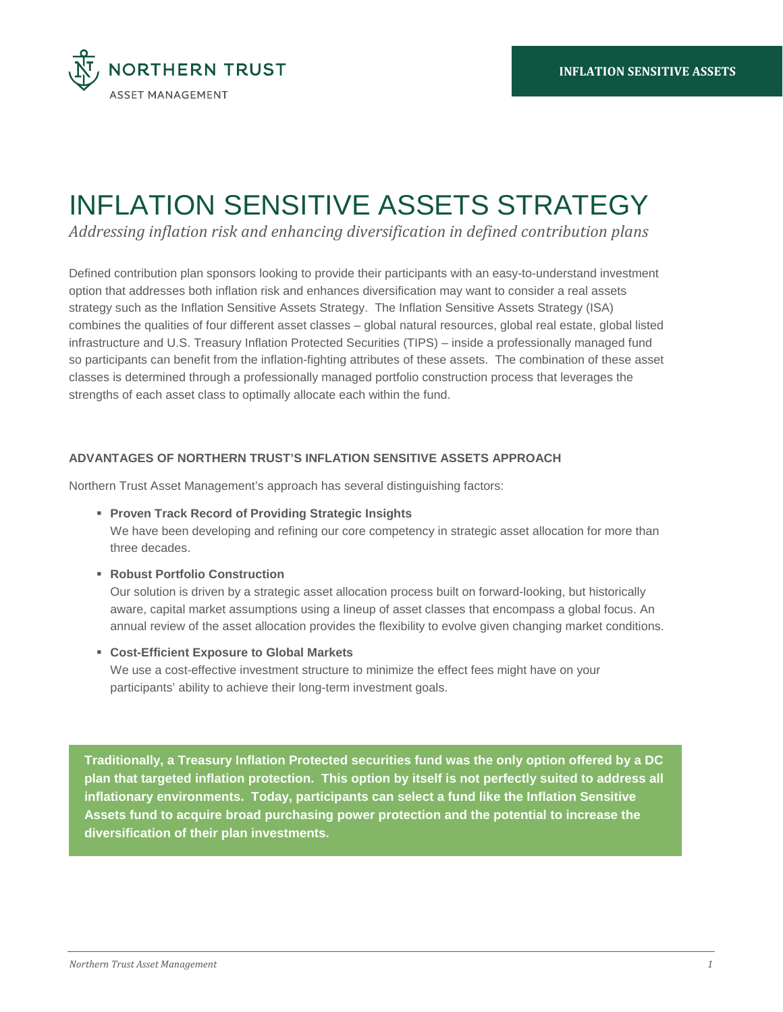

# INFLATION SENSITIVE ASSETS STRATEGY

*Addressing inflation risk and enhancing diversification in defined contribution plans*

Defined contribution plan sponsors looking to provide their participants with an easy-to-understand investment option that addresses both inflation risk and enhances diversification may want to consider a real assets strategy such as the Inflation Sensitive Assets Strategy. The Inflation Sensitive Assets Strategy (ISA) combines the qualities of four different asset classes – global natural resources, global real estate, global listed infrastructure and U.S. Treasury Inflation Protected Securities (TIPS) – inside a professionally managed fund so participants can benefit from the inflation-fighting attributes of these assets. The combination of these asset classes is determined through a professionally managed portfolio construction process that leverages the strengths of each asset class to optimally allocate each within the fund.

## **ADVANTAGES OF NORTHERN TRUST'S INFLATION SENSITIVE ASSETS APPROACH**

Northern Trust Asset Management's approach has several distinguishing factors:

**Proven Track Record of Providing Strategic Insights** 

We have been developing and refining our core competency in strategic asset allocation for more than three decades.

**Robust Portfolio Construction**

Our solution is driven by a strategic asset allocation process built on forward-looking, but historically aware, capital market assumptions using a lineup of asset classes that encompass a global focus. An annual review of the asset allocation provides the flexibility to evolve given changing market conditions.

**Cost-Efficient Exposure to Global Markets**

We use a cost-effective investment structure to minimize the effect fees might have on your participants' ability to achieve their long-term investment goals.

**Traditionally, a Treasury Inflation Protected securities fund was the only option offered by a DC plan that targeted inflation protection. This option by itself is not perfectly suited to address all inflationary environments. Today, participants can select a fund like the Inflation Sensitive Assets fund to acquire broad purchasing power protection and the potential to increase the diversification of their plan investments.**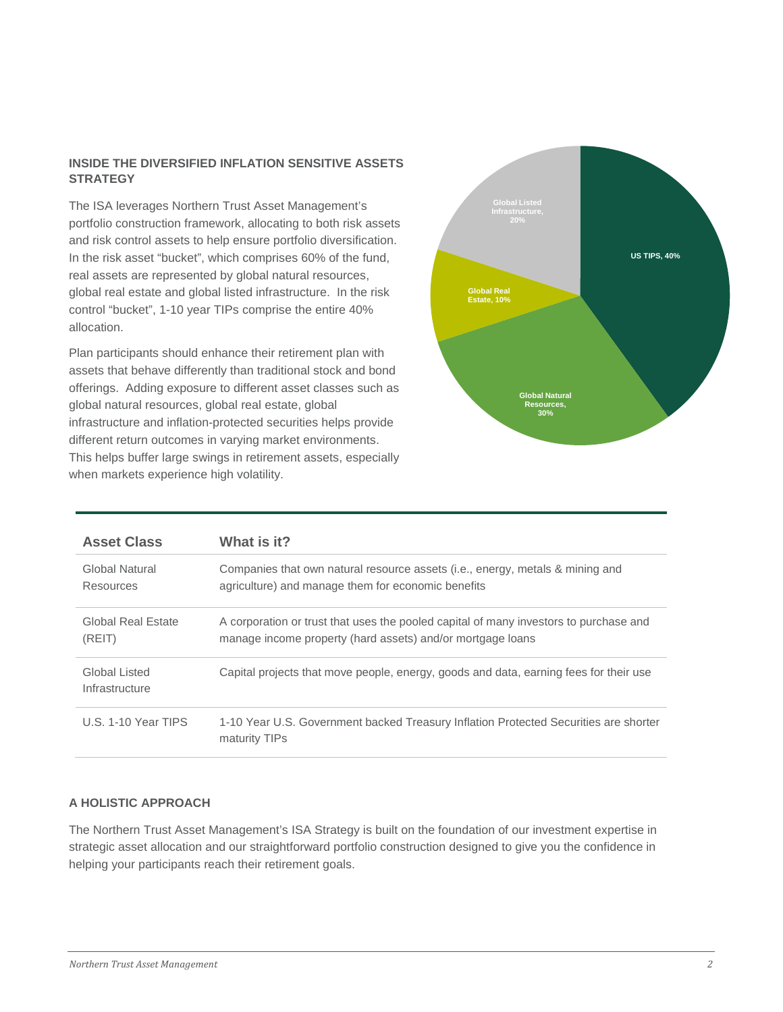# **INSIDE THE DIVERSIFIED INFLATION SENSITIVE ASSETS STRATEGY**

The ISA leverages Northern Trust Asset Management's portfolio construction framework, allocating to both risk assets and risk control assets to help ensure portfolio diversification. In the risk asset "bucket", which comprises 60% of the fund, real assets are represented by global natural resources, global real estate and global listed infrastructure. In the risk control "bucket", 1-10 year TIPs comprise the entire 40% allocation.

Plan participants should enhance their retirement plan with assets that behave differently than traditional stock and bond offerings. Adding exposure to different asset classes such as global natural resources, global real estate, global infrastructure and inflation-protected securities helps provide different return outcomes in varying market environments. This helps buffer large swings in retirement assets, especially when markets experience high volatility.



| <b>Asset Class</b>              | What is it?                                                                                                                                         |
|---------------------------------|-----------------------------------------------------------------------------------------------------------------------------------------------------|
| Global Natural<br>Resources     | Companies that own natural resource assets (i.e., energy, metals & mining and<br>agriculture) and manage them for economic benefits                 |
| Global Real Estate<br>(REIT)    | A corporation or trust that uses the pooled capital of many investors to purchase and<br>manage income property (hard assets) and/or mortgage loans |
| Global Listed<br>Infrastructure | Capital projects that move people, energy, goods and data, earning fees for their use                                                               |
| U.S. 1-10 Year TIPS             | 1-10 Year U.S. Government backed Treasury Inflation Protected Securities are shorter<br>maturity TIPs                                               |

# **A HOLISTIC APPROACH**

The Northern Trust Asset Management's ISA Strategy is built on the foundation of our investment expertise in strategic asset allocation and our straightforward portfolio construction designed to give you the confidence in helping your participants reach their retirement goals.